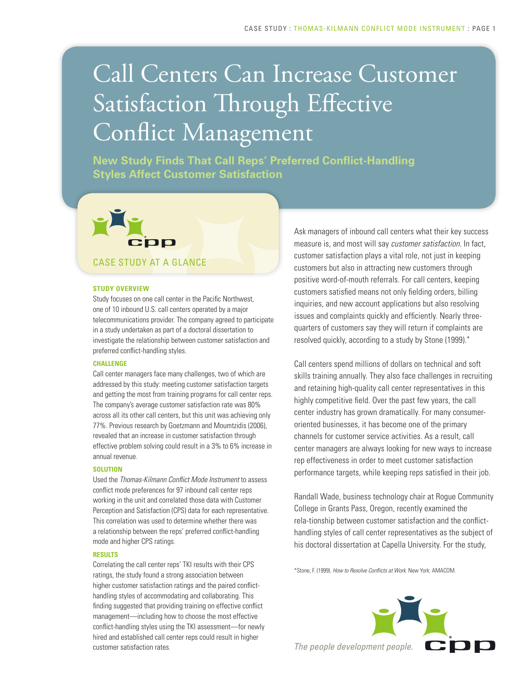# Call Centers Can Increase Customer Satisfaction Through Effective Conflict Management

**New Study Finds That Call Reps' Preferred Conflict-Handling Styles Affect Customer Satisfaction**

# CDD CASE STUDY AT A GLANCE

#### **STUDY OVERVIEW**

Study focuses on one call center in the Pacific Northwest, one of 10 inbound U.S. call centers operated by a major telecommunications provider. The company agreed to participate in a study undertaken as part of a doctoral dissertation to investigate the relationship between customer satisfaction and preferred conflict-handling styles.

#### **CHALLENGE**

Call center managers face many challenges, two of which are addressed by this study: meeting customer satisfaction targets and getting the most from training programs for call center reps. The company's average customer satisfaction rate was 80% across all its other call centers, but this unit was achieving only 77%. Previous research by Goetzmann and Moumtzidis (2006), revealed that an increase in customer satisfaction through effective problem solving could result in a 3% to 6% increase in annual revenue.

#### **SOLUTION**

Used the *Thomas-Kilmann Conflict Mode Instrument* to assess conflict mode preferences for 97 inbound call center reps working in the unit and correlated those data with Customer Perception and Satisfaction (CPS) data for each representative. This correlation was used to determine whether there was a relationship between the reps' preferred conflict-handling mode and higher CPS ratings.

#### **RESULTS**

Correlating the call center reps' TKI results with their CPS ratings, the study found a strong association between higher customer satisfaction ratings and the paired conflicthandling styles of accommodating and collaborating. This finding suggested that providing training on effective conflict management—including how to choose the most effective conflict-handling styles using the TKI assessment—for newly hired and established call center reps could result in higher customer satisfaction rates.

Ask managers of inbound call centers what their key success measure is, and most will say *customer satisfaction*. In fact, customer satisfaction plays a vital role, not just in keeping customers but also in attracting new customers through positive word-of-mouth referrals. For call centers, keeping customers satisfied means not only fielding orders, billing inquiries, and new account applications but also resolving issues and complaints quickly and efficiently. Nearly threequarters of customers say they will return if complaints are resolved quickly, according to a study by Stone (1999).\*

Call centers spend millions of dollars on technical and soft skills training annually. They also face challenges in recruiting and retaining high-quality call center representatives in this highly competitive field. Over the past few years, the call center industry has grown dramatically. For many consumeroriented businesses, it has become one of the primary channels for customer service activities. As a result, call center managers are always looking for new ways to increase rep effectiveness in order to meet customer satisfaction performance targets, while keeping reps satisfied in their job.

Randall Wade, business technology chair at Rogue Community College in Grants Pass, Oregon, recently examined the rela-tionship between customer satisfaction and the conflicthandling styles of call center representatives as the subject of his doctoral dissertation at Capella University. For the study,

\*Stone, F. (1999). *How to Resolve Conflicts at Work*. New York: AMACOM.

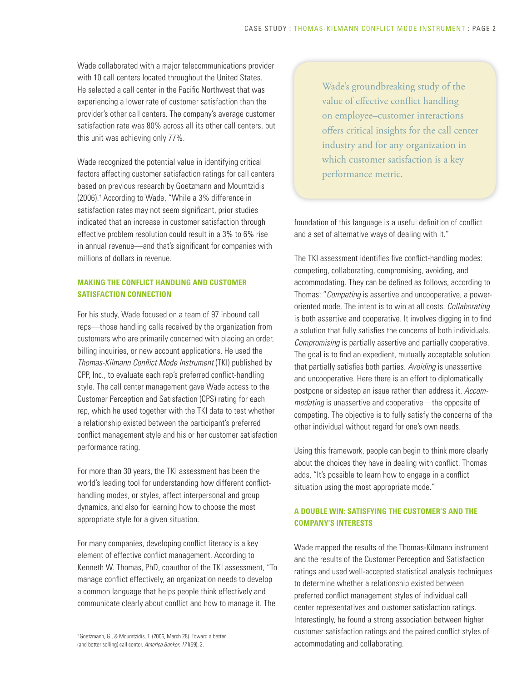Wade collaborated with a major telecommunications provider with 10 call centers located throughout the United States. He selected a call center in the Pacific Northwest that was experiencing a lower rate of customer satisfaction than the provider's other call centers. The company's average customer satisfaction rate was 80% across all its other call centers, but this unit was achieving only 77%.

Wade recognized the potential value in identifying critical factors affecting customer satisfaction ratings for call centers based on previous research by Goetzmann and Moumtzidis (2006).† According to Wade, "While a 3% difference in satisfaction rates may not seem significant, prior studies indicated that an increase in customer satisfaction through effective problem resolution could result in a 3% to 6% rise in annual revenue—and that's significant for companies with millions of dollars in revenue.

### **MAKING THE CONFLICT HANDLING AND CUSTOMER SATISFACTION CONNECTION**

For his study, Wade focused on a team of 97 inbound call reps—those handling calls received by the organization from customers who are primarily concerned with placing an order, billing inquiries, or new account applications. He used the *Thomas-Kilmann Conflict Mode Instrument* (TKI) published by CPP, Inc., to evaluate each rep's preferred conflict-handling style. The call center management gave Wade access to the Customer Perception and Satisfaction (CPS) rating for each rep, which he used together with the TKI data to test whether a relationship existed between the participant's preferred conflict management style and his or her customer satisfaction performance rating.

For more than 30 years, the TKI assessment has been the world's leading tool for understanding how different conflicthandling modes, or styles, affect interpersonal and group dynamics, and also for learning how to choose the most appropriate style for a given situation.

For many companies, developing conflict literacy is a key element of effective conflict management. According to Kenneth W. Thomas, PhD, coauthor of the TKI assessment, "To manage conflict effectively, an organization needs to develop a common language that helps people think effectively and communicate clearly about conflict and how to manage it. The

† Goetzmann, G., & Moumtzidis, T. (2006, March 28). Toward a better (and better selling) call center. *America Banker, 171*(59), 2.

Wade's groundbreaking study of the value of effective conflict handling on employee–customer interactions offers critical insights for the call center industry and for any organization in which customer satisfaction is a key performance metric.

foundation of this language is a useful definition of conflict and a set of alternative ways of dealing with it."

The TKI assessment identifies five conflict-handling modes: competing, collaborating, compromising, avoiding, and accommodating. They can be defined as follows, according to Thomas: "*Competing* is assertive and uncooperative, a poweroriented mode. The intent is to win at all costs. *Collaborating* is both assertive and cooperative. It involves digging in to find a solution that fully satisfies the concerns of both individuals. *Compromising* is partially assertive and partially cooperative. The goal is to find an expedient, mutually acceptable solution that partially satisfies both parties. *Avoiding* is unassertive and uncooperative. Here there is an effort to diplomatically postpone or sidestep an issue rather than address it. *Accommodating* is unassertive and cooperative—the opposite of competing. The objective is to fully satisfy the concerns of the other individual without regard for one's own needs.

Using this framework, people can begin to think more clearly about the choices they have in dealing with conflict. Thomas adds, "It's possible to learn how to engage in a conflict situation using the most appropriate mode."

### **A DOUBLE WIN: SATISFYING THE CUSTOMER'S AND THE COMPANY'S INTERESTS**

Wade mapped the results of the Thomas-Kilmann instrument and the results of the Customer Perception and Satisfaction ratings and used well-accepted statistical analysis techniques to determine whether a relationship existed between preferred conflict management styles of individual call center representatives and customer satisfaction ratings. Interestingly, he found a strong association between higher customer satisfaction ratings and the paired conflict styles of accommodating and collaborating.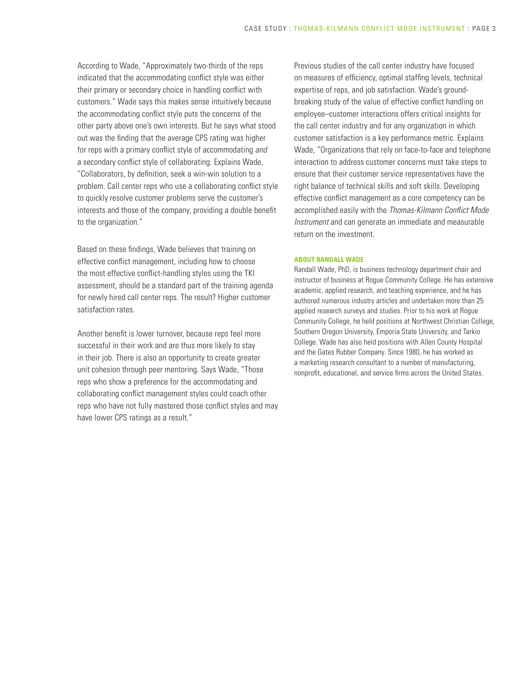According to Wade, "Approximately two-thirds of the reps indicated that the accommodating conflict style was either their primary or secondary choice in handling conflict with customers." Wade says this makes sense intuitively because the accommodating conflict style puts the concerns of the other party above one's own interests. But he says what stood out was the finding that the average CPS rating was higher for reps with a primary conflict style of accommodating *and* a secondary conflict style of collaborating. Explains Wade, "Collaborators, by definition, seek a win-win solution to a problem. Call center reps who use a collaborating conflict style to quickly resolve customer problems serve the customer's interests and those of the company, providing a double benefit to the organization."

Based on these findings, Wade believes that training on effective conflict management, including how to choose the most effective conflict-handling styles using the TKI assessment, should be a standard part of the training agenda for newly hired call center reps. The result? Higher customer satisfaction rates.

Another benefit is lower turnover, because reps feel more successful in their work and are thus more likely to stay in their job. There is also an opportunity to create greater unit cohesion through peer mentoring. Says Wade, "Those reps who show a preference for the accommodating and collaborating conflict management styles could coach other reps who have not fully mastered those conflict styles and may have lower CPS ratings as a result."

Previous studies of the call center industry have focused on measures of efficiency, optimal staffing levels, technical expertise of reps, and job satisfaction. Wade's groundbreaking study of the value of effective conflict handling on employee–customer interactions offers critical insights for the call center industry and for any organization in which customer satisfaction is a key performance metric. Explains Wade, "Organizations that rely on face-to-face and telephone interaction to address customer concerns must take steps to ensure that their customer service representatives have the right balance of technical skills and soft skills. Developing effective conflict management as a core competency can be accomplished easily with the *Thomas-Kilmann Conflict Mode Instrument* and can generate an immediate and measurable return on the investment.

#### **ABOUT RANDALL WADE**

Randall Wade, PhD, is business technology department chair and instructor of business at Rogue Community College. He has extensive academic, applied research, and teaching experience, and he has authored numerous industry articles and undertaken more than 25 applied research surveys and studies. Prior to his work at Rogue Community College, he held positions at Northwest Christian College, Southern Oregon University, Emporia State University, and Tarkio College. Wade has also held positions with Allen County Hospital and the Gates Rubber Company. Since 1980, he has worked as a marketing research consultant to a number of manufacturing, nonprofit, educational, and service firms across the United States.